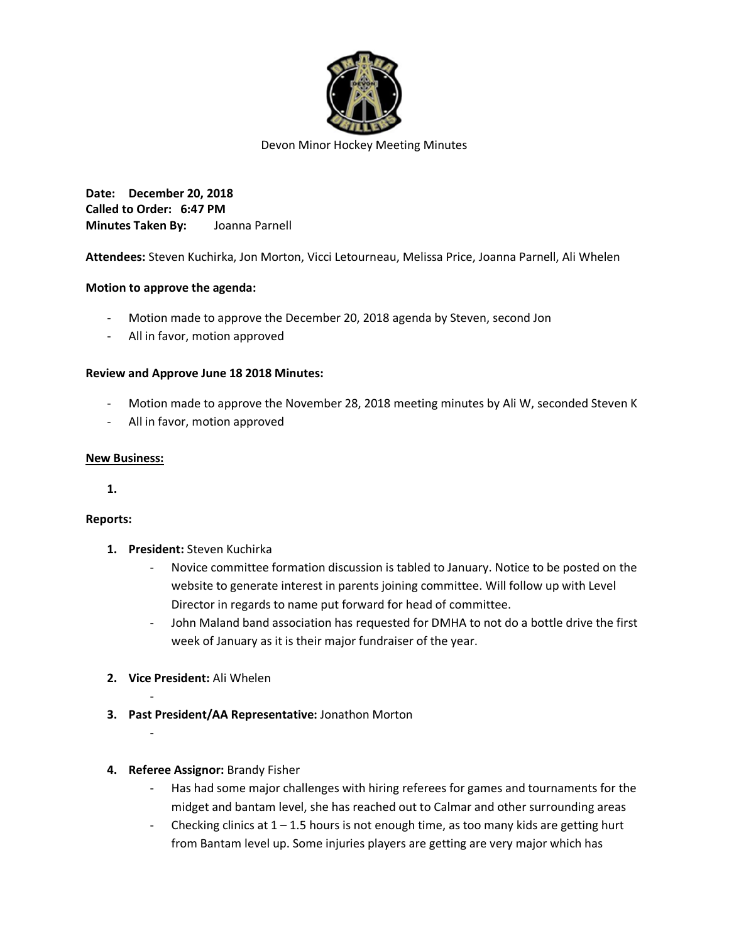

Devon Minor Hockey Meeting Minutes

**Date: December 20, 2018 Called to Order: 6:47 PM Minutes Taken By:** Joanna Parnell

**Attendees:** Steven Kuchirka, Jon Morton, Vicci Letourneau, Melissa Price, Joanna Parnell, Ali Whelen

## **Motion to approve the agenda:**

- Motion made to approve the December 20, 2018 agenda by Steven, second Jon
- All in favor, motion approved

## **Review and Approve June 18 2018 Minutes:**

- Motion made to approve the November 28, 2018 meeting minutes by Ali W, seconded Steven K
- All in favor, motion approved

## **New Business:**

**1.**

## **Reports:**

- **1. President:** Steven Kuchirka
	- Novice committee formation discussion is tabled to January. Notice to be posted on the website to generate interest in parents joining committee. Will follow up with Level Director in regards to name put forward for head of committee.
	- John Maland band association has requested for DMHA to not do a bottle drive the first week of January as it is their major fundraiser of the year.
- **2. Vice President:** Ali Whelen

-

-

- **3. Past President/AA Representative:** Jonathon Morton
- **4. Referee Assignor:** Brandy Fisher
	- Has had some major challenges with hiring referees for games and tournaments for the midget and bantam level, she has reached out to Calmar and other surrounding areas
	- Checking clinics at  $1 1.5$  hours is not enough time, as too many kids are getting hurt from Bantam level up. Some injuries players are getting are very major which has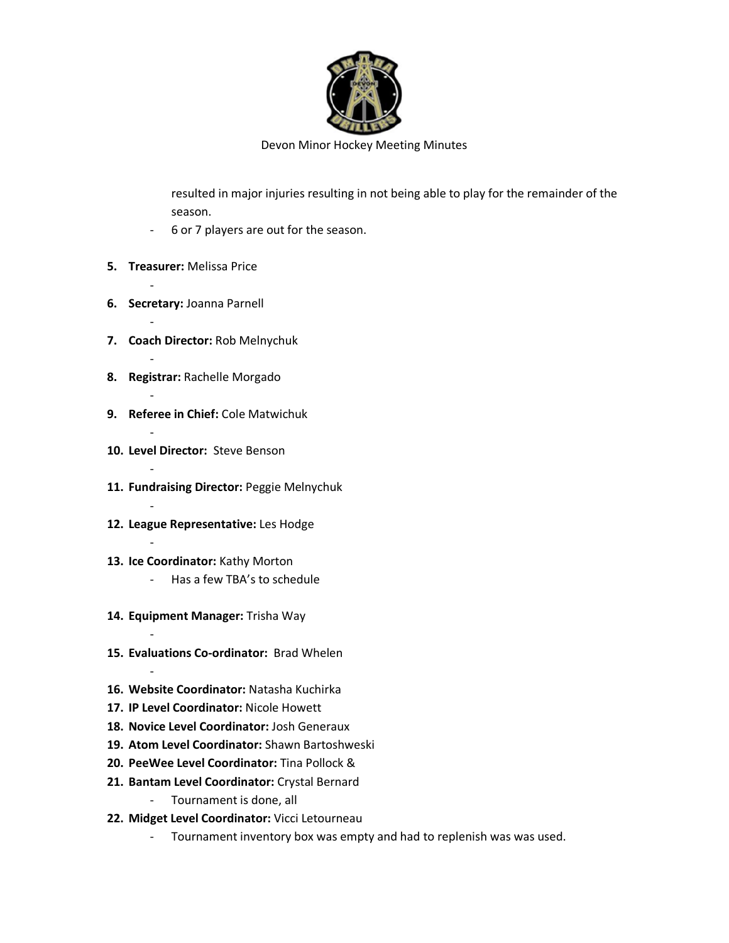

Devon Minor Hockey Meeting Minutes

resulted in major injuries resulting in not being able to play for the remainder of the season.

- 6 or 7 players are out for the season.
- **5. Treasurer:** Melissa Price

-

-

-

-

-

-

-

-

-

-

- **6. Secretary:** Joanna Parnell
- **7. Coach Director:** Rob Melnychuk
- **8. Registrar:** Rachelle Morgado
- **9. Referee in Chief:** Cole Matwichuk
- **10. Level Director:** Steve Benson
- **11. Fundraising Director:** Peggie Melnychuk
- **12. League Representative:** Les Hodge
- **13. Ice Coordinator:** Kathy Morton
	- Has a few TBA's to schedule
- **14. Equipment Manager:** Trisha Way
- **15. Evaluations Co-ordinator:** Brad Whelen
- **16. Website Coordinator:** Natasha Kuchirka
- **17. IP Level Coordinator:** Nicole Howett
- **18. Novice Level Coordinator:** Josh Generaux
- **19. Atom Level Coordinator:** Shawn Bartoshweski
- **20. PeeWee Level Coordinator:** Tina Pollock &
- **21. Bantam Level Coordinator:** Crystal Bernard
	- Tournament is done, all
- **22. Midget Level Coordinator:** Vicci Letourneau
	- Tournament inventory box was empty and had to replenish was was used.